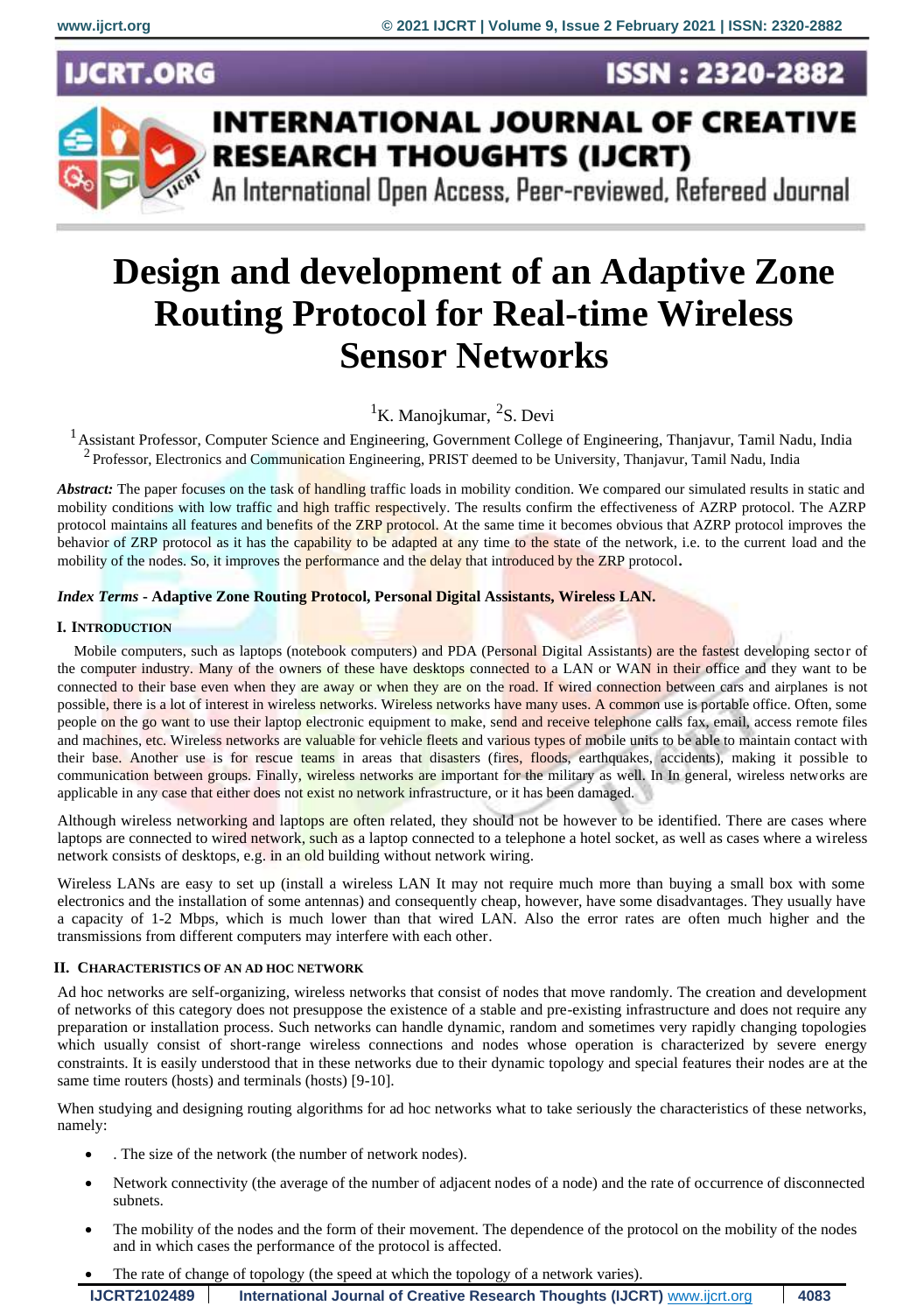**ISSN: 2320-2882** 

**CRT.ORG** 



# **INTERNATIONAL JOURNAL OF CREATIVE RESEARCH THOUGHTS (IJCRT)**

An International Open Access, Peer-reviewed, Refereed Journal

# **Design and development of an Adaptive Zone Routing Protocol for Real-time Wireless Sensor Networks**

 ${}^{1}$ K. Manojkumar,  ${}^{2}$ S. Devi

<sup>1</sup> Assistant Professor, Computer Science and Engineering, Government College of Engineering, Thanjavur, Tamil Nadu, India <sup>2</sup> Professor, Electronics and Communication Engineering, PRIST deemed to be University, Thanjavur, Tamil Nadu, India

*Abstract:* The paper focuses on the task of handling traffic loads in mobility condition. We compared our simulated results in static and mobility conditions with low traffic and high traffic respectively. The results confirm the effectiveness of AZRP protocol. The AZRP protocol maintains all features and benefits of the ZRP protocol. At the same time it becomes obvious that AZRP protocol improves the behavior of ZRP protocol as it has the capability to be adapted at any time to the state of the network, i.e. to the current load and the mobility of the nodes. So, it improves the performance and the delay that introduced by the ZRP protocol**.**

# *Index Terms* **- Adaptive Zone Routing Protocol, Personal Digital Assistants, Wireless LAN.**

# **I. INTRODUCTION**

Mobile computers, such as laptops (notebook computers) and PDA (Personal Digital Assistants) are the fastest developing sector of the computer industry. Many of the owners of these have desktops connected to a LAN or WAN in their office and they want to be connected to their base even when they are away or when they are on the road. If wired connection between cars and airplanes is not possible, there is a lot of interest in wireless networks. Wireless networks have many uses. A common use is portable office. Often, some people on the go want to use their laptop electronic equipment to make, send and receive telephone calls fax, email, access remote files and machines, etc. Wireless networks are valuable for vehicle fleets and various types of mobile units to be able to maintain contact with their base. Another use is for rescue teams in areas that disasters (fires, floods, earthquakes, accidents), making it possible to communication between groups. Finally, wireless networks are important for the military as well. In In general, wireless networks are applicable in any case that either does not exist no network infrastructure, or it has been damaged.

Although wireless networking and laptops are often related, they should not be however to be identified. There are cases where laptops are connected to wired network, such as a laptop connected to a telephone a hotel socket, as well as cases where a wireless network consists of desktops, e.g. in an old building without network wiring.

Wireless LANs are easy to set up (install a wireless LAN It may not require much more than buying a small box with some electronics and the installation of some antennas) and consequently cheap, however, have some disadvantages. They usually have a capacity of 1-2 Mbps, which is much lower than that wired LAN. Also the error rates are often much higher and the transmissions from different computers may interfere with each other.

# **II. CHARACTERISTICS OF AN AD HOC NETWORK**

Ad hoc networks are self-organizing, wireless networks that consist of nodes that move randomly. The creation and development of networks of this category does not presuppose the existence of a stable and pre-existing infrastructure and does not require any preparation or installation process. Such networks can handle dynamic, random and sometimes very rapidly changing topologies which usually consist of short-range wireless connections and nodes whose operation is characterized by severe energy constraints. It is easily understood that in these networks due to their dynamic topology and special features their nodes are at the same time routers (hosts) and terminals (hosts) [9-10].

When studying and designing routing algorithms for ad hoc networks what to take seriously the characteristics of these networks, namely:

- . The size of the network (the number of network nodes).
- Network connectivity (the average of the number of adjacent nodes of a node) and the rate of occurrence of disconnected subnets.
- The mobility of the nodes and the form of their movement. The dependence of the protocol on the mobility of the nodes and in which cases the performance of the protocol is affected.
- The rate of change of topology (the speed at which the topology of a network varies).

| <b>IJCRT2102489</b> | International Journal of Creative Research Thoughts (IJCRT) www.ijcrt.org | 4083 |
|---------------------|---------------------------------------------------------------------------|------|
|---------------------|---------------------------------------------------------------------------|------|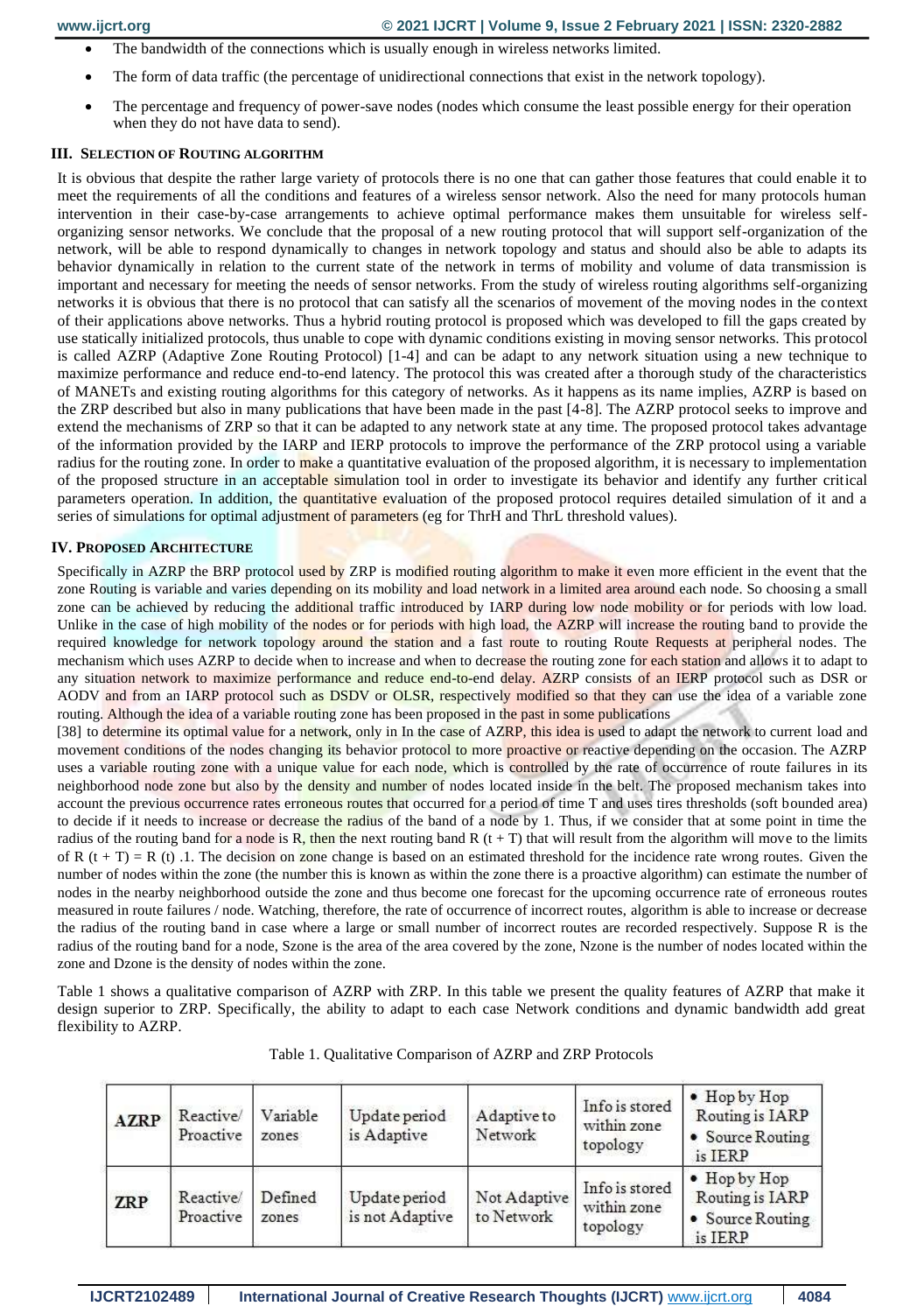- The bandwidth of the connections which is usually enough in wireless networks limited.
- The form of data traffic (the percentage of unidirectional connections that exist in the network topology).
- The percentage and frequency of power-save nodes (nodes which consume the least possible energy for their operation when they do not have data to send).

#### **III. SELECTION OF ROUTING ALGORITHM**

It is obvious that despite the rather large variety of protocols there is no one that can gather those features that could enable it to meet the requirements of all the conditions and features of a wireless sensor network. Also the need for many protocols human intervention in their case-by-case arrangements to achieve optimal performance makes them unsuitable for wireless selforganizing sensor networks. We conclude that the proposal of a new routing protocol that will support self-organization of the network, will be able to respond dynamically to changes in network topology and status and should also be able to adapts its behavior dynamically in relation to the current state of the network in terms of mobility and volume of data transmission is important and necessary for meeting the needs of sensor networks. From the study of wireless routing algorithms self-organizing networks it is obvious that there is no protocol that can satisfy all the scenarios of movement of the moving nodes in the context of their applications above networks. Thus a hybrid routing protocol is proposed which was developed to fill the gaps created by use statically initialized protocols, thus unable to cope with dynamic conditions existing in moving sensor networks. This protocol is called AZRP (Adaptive Zone Routing Protocol) [1-4] and can be adapt to any network situation using a new technique to maximize performance and reduce end-to-end latency. The protocol this was created after a thorough study of the characteristics of MANETs and existing routing algorithms for this category of networks. As it happens as its name implies, AZRP is based on the ZRP described but also in many publications that have been made in the past [4-8]. The AZRP protocol seeks to improve and extend the mechanisms of ZRP so that it can be adapted to any network state at any time. The proposed protocol takes advantage of the information provided by the IARP and IERP protocols to improve the performance of the ZRP protocol using a variable radius for the routing zone. In order to make a quantitative evaluation of the proposed algorithm, it is necessary to implementation of the proposed structure in an acceptable simulation tool in order to investigate its behavior and identify any further critical parameters operation. In addition, the quantitative evaluation of the proposed protocol requires detailed simulation of it and a series of simulations for optimal adjustment of parameters (eg for ThrH and ThrL threshold values).

#### **IV. PROPOSED ARCHITECTURE**

Specifically in AZRP the BRP protocol used by ZRP is modified routing algorithm to make it even more efficient in the event that the zone Routing is variable and varies depending on its mobility and load network in a limited area around each node. So choosing a small zone can be achieved by reducing the additional traffic introduced by IARP during low node mobility or for periods with low load. Unlike in the case of high mobility of the nodes or for periods with high load, the AZRP will increase the routing band to provide the required knowledge for network topology around the station and a fast route to routing Route Requests at peripheral nodes. The mechanism which uses AZRP to decide when to increase and when to decrease the routing zone for each station and allows it to adapt to any situation network to maximize performance and reduce end-to-end delay. AZRP consists of an IERP protocol such as DSR or AODV and from an IARP protocol such as DSDV or OLSR, respectively modified so that they can use the idea of a variable zone routing. Although the idea of a variable routing zone has been proposed in the past in some publications

[38] to determine its optimal value for a network, only in In the case of AZRP, this idea is used to adapt the network to current load and movement conditions of the nodes changing its behavior protocol to more proactive or reactive depending on the occasion. The AZRP uses a variable routing zone with a unique value for each node, which is controlled by the rate of occurrence of route failures in its neighborhood node zone but also by the density and number of nodes located inside in the belt. The proposed mechanism takes into account the previous occurrence rates erroneous routes that occurred for a period of time T and uses tires thresholds (soft bounded area) to decide if it needs to increase or decrease the radius of the band of a node by 1. Thus, if we consider that at some point in time the radius of the routing band for a node is R, then the next routing band R  $(t + T)$  that will result from the algorithm will move to the limits of R  $(t + T) = R(t)$ . The decision on zone change is based on an estimated threshold for the incidence rate wrong routes. Given the number of nodes within the zone (the number this is known as within the zone there is a proactive algorithm) can estimate the number of nodes in the nearby neighborhood outside the zone and thus become one forecast for the upcoming occurrence rate of erroneous routes measured in route failures / node. Watching, therefore, the rate of occurrence of incorrect routes, algorithm is able to increase or decrease the radius of the routing band in case where a large or small number of incorrect routes are recorded respectively. Suppose R is the radius of the routing band for a node, Szone is the area of the area covered by the zone, Nzone is the number of nodes located within the zone and Dzone is the density of nodes within the zone.

Table 1 shows a qualitative comparison of AZRP with ZRP. In this table we present the quality features of AZRP that make it design superior to ZRP. Specifically, the ability to adapt to each case Network conditions and dynamic bandwidth add great flexibility to AZRP.

| <b>AZRP</b> | Reactive/<br>Proactive | Variable<br>zones | Update period<br>is Adaptive     | Adaptive to<br>Network     | Info is stored<br>within zone<br>topology | • Hop by Hop<br>Routing is IARP<br>• Source Routing<br>is IERP                |
|-------------|------------------------|-------------------|----------------------------------|----------------------------|-------------------------------------------|-------------------------------------------------------------------------------|
| <b>ZRP</b>  | Reactive/<br>Proactive | Defined<br>zones  | Update period<br>is not Adaptive | Not Adaptive<br>to Network | Info is stored<br>within zone<br>topology | $\bullet$ Hop by Hop<br>Routing is <b>IARP</b><br>• Source Routing<br>is IERP |

|  |  | Table 1. Qualitative Comparison of AZRP and ZRP Protocols |  |  |  |  |
|--|--|-----------------------------------------------------------|--|--|--|--|
|--|--|-----------------------------------------------------------|--|--|--|--|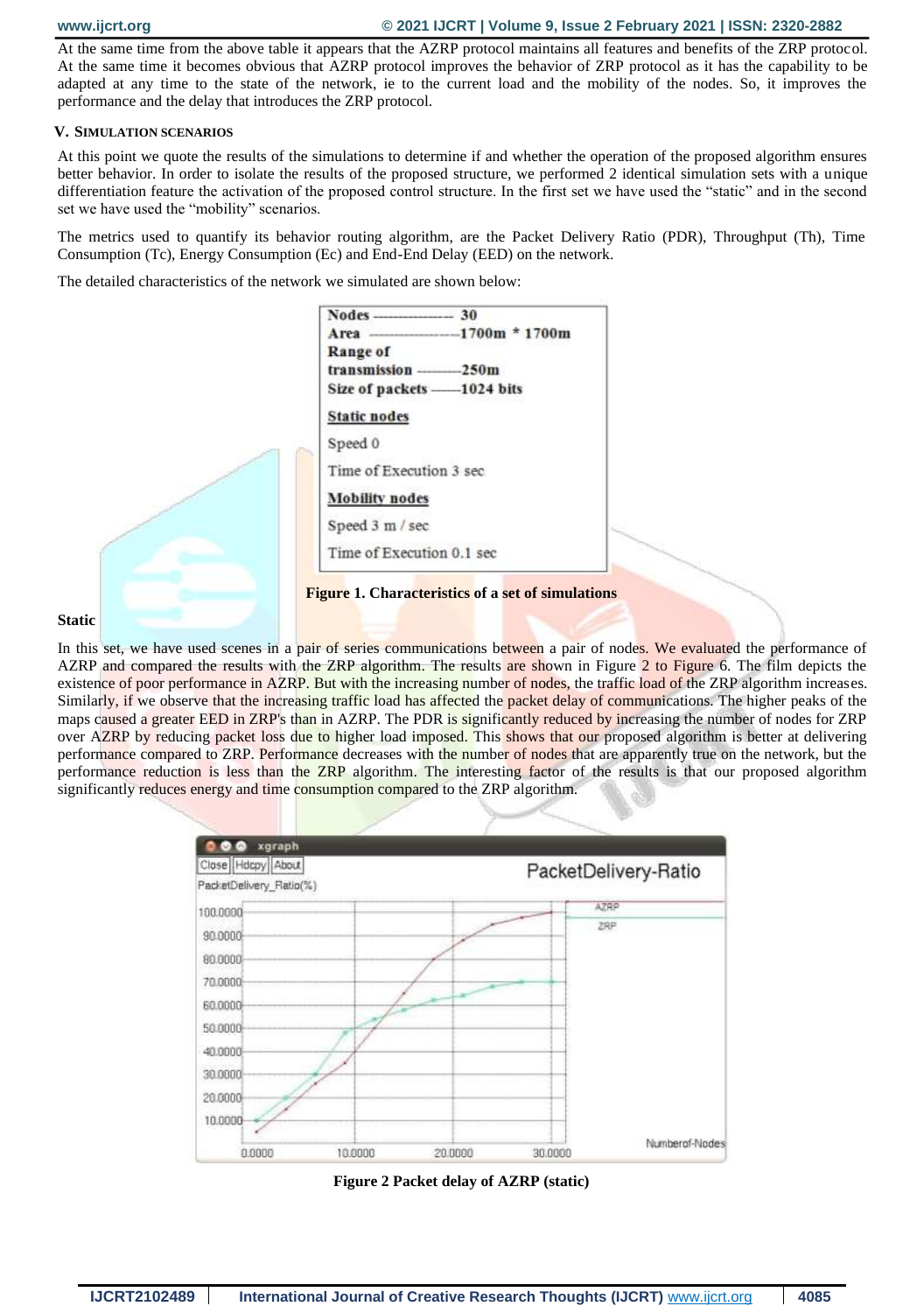At the same time from the above table it appears that the AZRP protocol maintains all features and benefits of the ZRP protocol. At the same time it becomes obvious that AZRP protocol improves the behavior of ZRP protocol as it has the capability to be adapted at any time to the state of the network, ie to the current load and the mobility of the nodes. So, it improves the performance and the delay that introduces the ZRP protocol.

#### **V. SIMULATION SCENARIOS**

At this point we quote the results of the simulations to determine if and whether the operation of the proposed algorithm ensures better behavior. In order to isolate the results of the proposed structure, we performed 2 identical simulation sets with a unique differentiation feature the activation of the proposed control structure. In the first set we have used the "static" and in the second set we have used the "mobility" scenarios.

The metrics used to quantify its behavior routing algorithm, are the Packet Delivery Ratio (PDR), Throughput (Th), Time Consumption (Tc), Energy Consumption (Ec) and End-End Delay (EED) on the network.

The detailed characteristics of the network we simulated are shown below:



#### **Static**

In this set, we have used scenes in a pair of series communications between a pair of nodes. We evaluated the performance of AZRP and compared the results with the ZRP algorithm. The results are shown in Figure 2 to Figure 6. The film depicts the existence of poor performance in AZRP. But with the increasing number of nodes, the traffic load of the ZRP algorithm increases. Similarly, if we observe that the increasing traffic load has affected the packet delay of communications. The higher peaks of the maps caused a greater EED in ZRP's than in AZRP. The PDR is significantly reduced by increasing the number of nodes for ZRP over AZRP by reducing packet loss due to higher load imposed. This shows that our proposed algorithm is better at delivering performance compared to ZRP. Performance decreases with the number of nodes that are apparently true on the network, but the performance reduction is less than the ZRP algorithm. The interesting factor of the results is that our proposed algorithm significantly reduces energy and time consumption compared to the ZRP algorithm.



**Figure 2 Packet delay of AZRP (static)**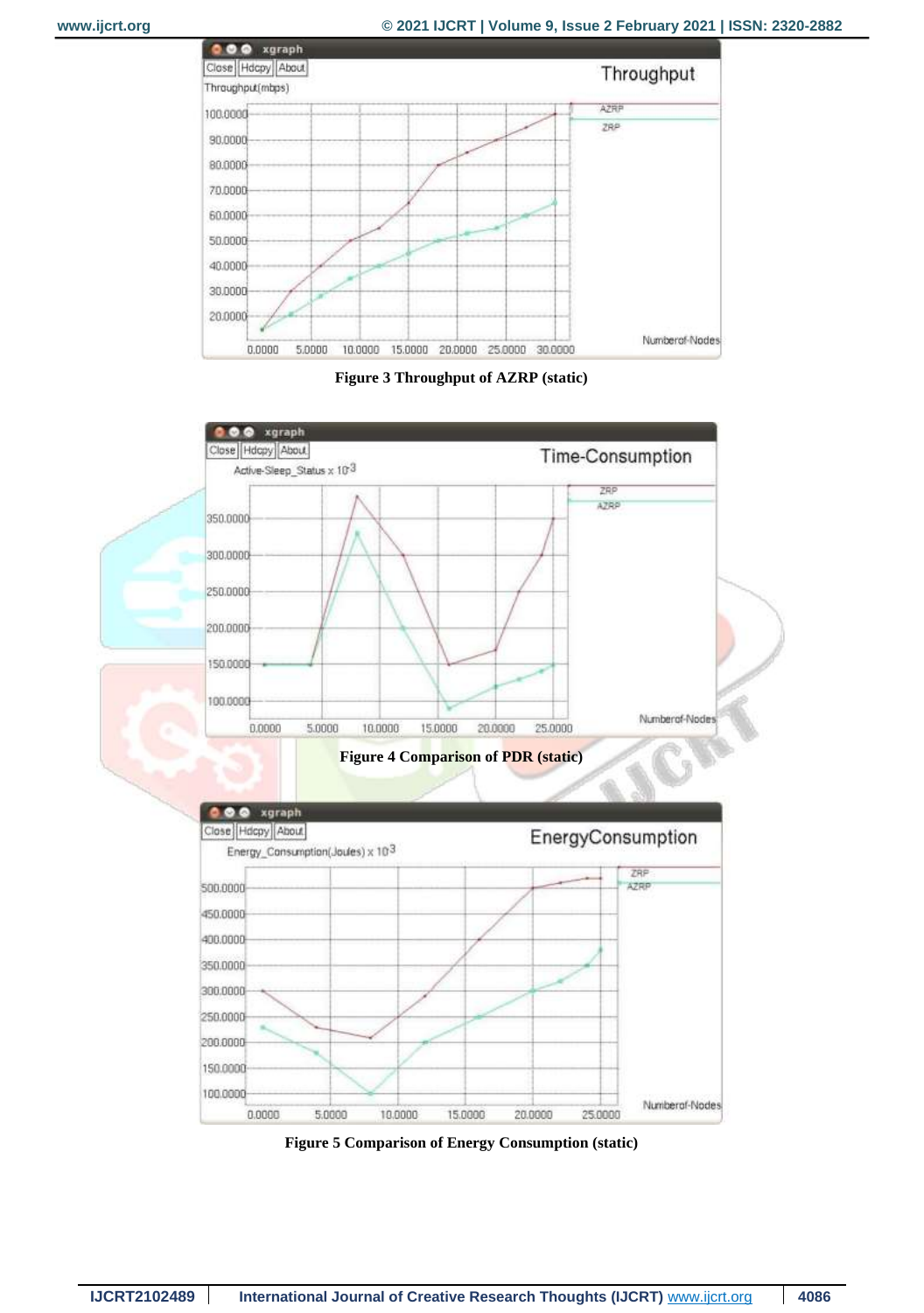





**Figure 5 Comparison of Energy Consumption (static)**

15.0000

10.0000

20.0000

25,0000

Numberof-Nodes

200.0000 150.0000 100.0000

 $0.0000$ 

5,0000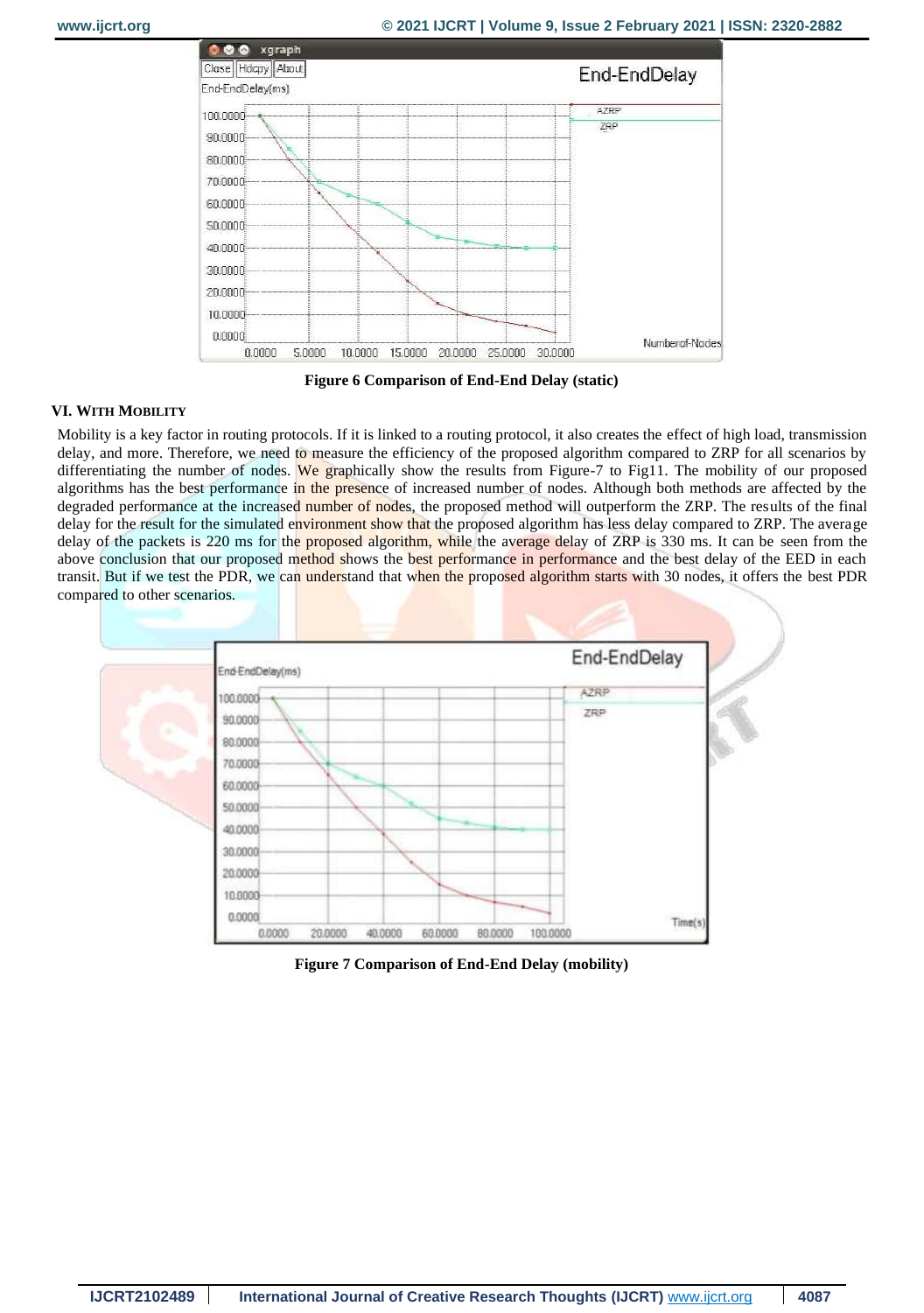

**Figure 6 Comparison of End-End Delay (static)**

# **VI. WITH MOBILITY**

Mobility is a key factor in routing protocols. If it is linked to a routing protocol, it also creates the effect of high load, transmission delay, and more. Therefore, we need to measure the efficiency of the proposed algorithm compared to ZRP for all scenarios by differentiating the number of nodes. We graphically show the results from Figure-7 to Fig11. The mobility of our proposed algorithms has the best performance in the presence of increased number of nodes. Although both methods are affected by the degraded performance at the increased number of nodes, the proposed method will outperform the ZRP. The results of the final delay for the result for the simulated environment show that the proposed algorithm has less delay compared to ZRP. The average delay of the packets is 220 ms for the proposed algorithm, while the average delay of ZRP is 330 ms. It can be seen from the above conclusion that our proposed method shows the best performance in performance and the best delay of the EED in each transit. But if we test the PDR, we can understand that when the proposed algorithm starts with 30 nodes, it offers the best PDR compared to other scenarios.



**Figure 7 Comparison of End-End Delay (mobility)**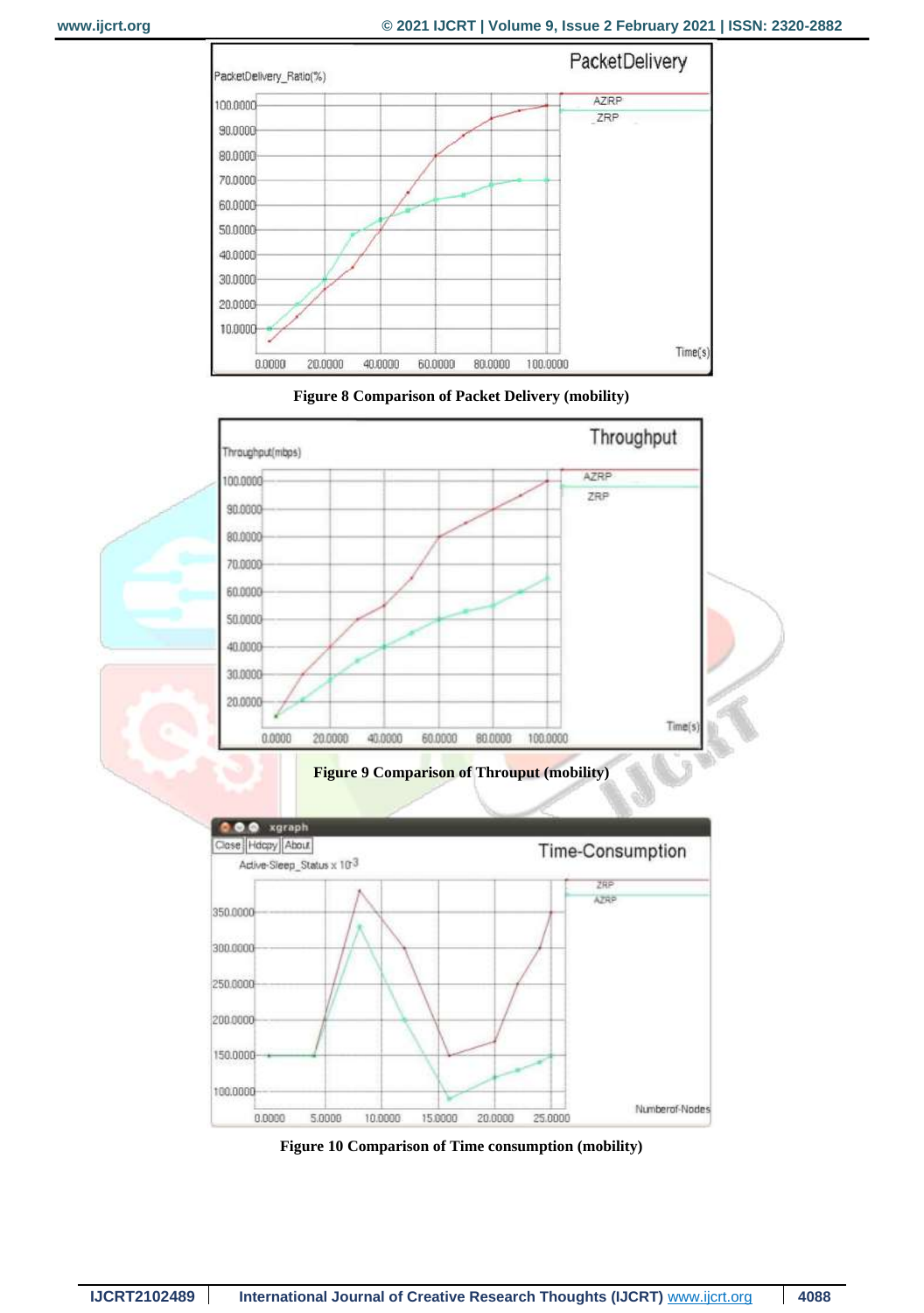





**Figure 9 Comparison of Throuput (mobility)**



**Figure 10 Comparison of Time consumption (mobility)**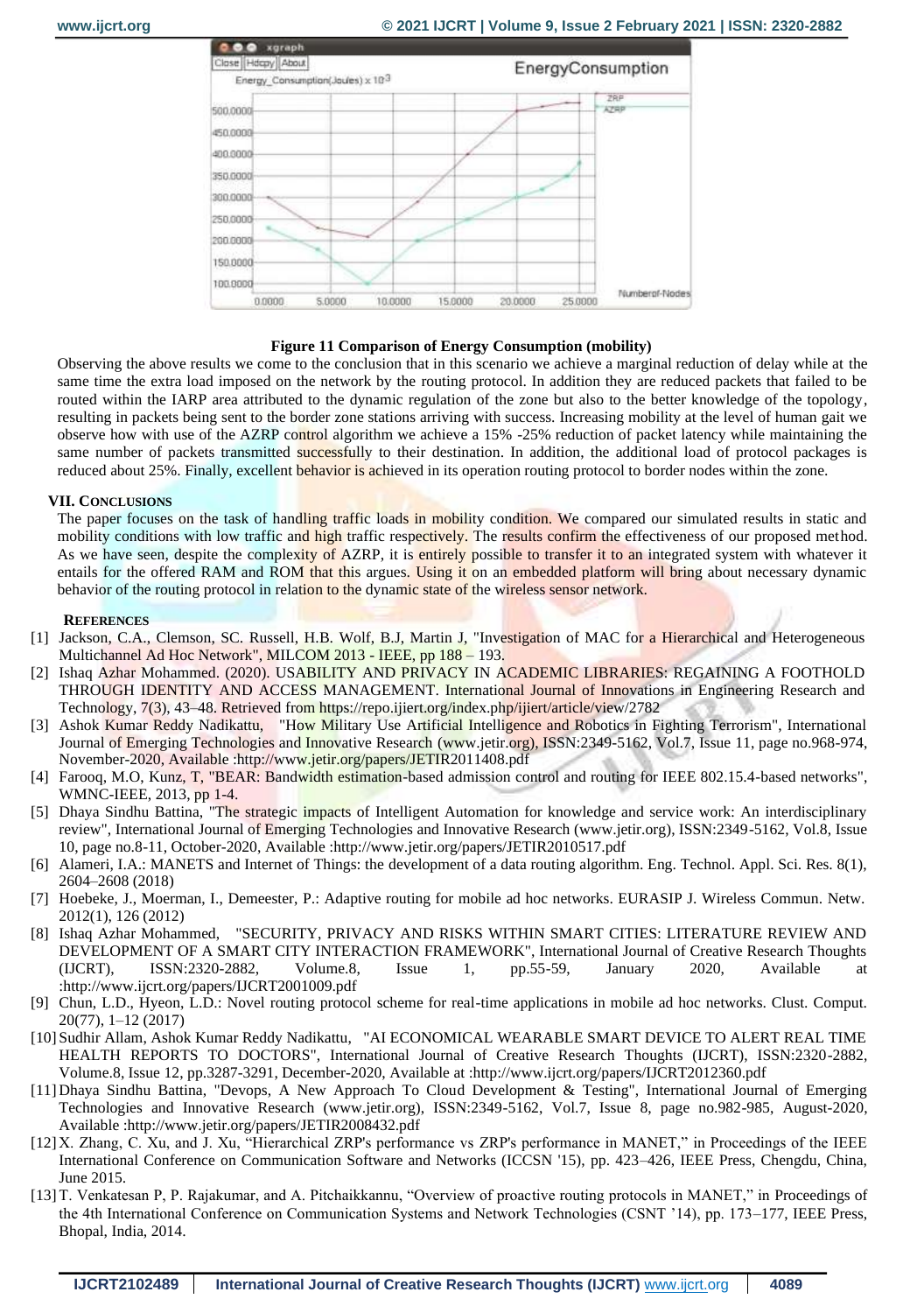

#### **Figure 11 Comparison of Energy Consumption (mobility)**

Observing the above results we come to the conclusion that in this scenario we achieve a marginal reduction of delay while at the same time the extra load imposed on the network by the routing protocol. In addition they are reduced packets that failed to be routed within the IARP area attributed to the dynamic regulation of the zone but also to the better knowledge of the topology, resulting in packets being sent to the border zone stations arriving with success. Increasing mobility at the level of human gait we observe how with use of the AZRP control algorithm we achieve a 15% -25% reduction of packet latency while maintaining the same number of packets transmitted successfully to their destination. In addition, the additional load of protocol packages is reduced about 25%. Finally, excellent behavior is achieved in its operation routing protocol to border nodes within the zone.

#### **VII. CONCLUSIONS**

The paper focuses on the task of handling traffic loads in mobility condition. We compared our simulated results in static and mobility conditions with low traffic and high traffic respectively. The results confirm the effectiveness of our proposed method. As we have seen, despite the complexity of AZRP, it is entirely possible to transfer it to an integrated system with whatever it entails for the offered RAM and ROM that this argues. Using it on an embedded platform will bring about necessary dynamic behavior of the routing protocol in relation to the dynamic state of the wireless sensor network.

#### **REFERENCES**

- [1] Jackson, C.A., Clemson, SC. Russell, H.B. Wolf, B.J, Martin J, "Investigation of MAC for a Hierarchical and Heterogeneous Multichannel Ad Hoc Network", MILCOM 2013 - IEEE, pp 188 – 193.
- [2] Ishaq Azhar Mohammed. (2020). USABILITY AND PRIVACY IN ACADEMIC LIBRARIES: REGAINING A FOOTHOLD THROUGH IDENTITY AND ACCESS MANAGEMENT. International Journal of Innovations in Engineering Research and Technology, 7(3), 43–48. Retrieved from https://repo.ijiert.org/index.php/ijiert/article/view/2782
- [3] Ashok Kumar Reddy Nadikattu, "How Military Use Artificial Intelligence and Robotics in Fighting Terrorism", International Journal of Emerging Technologies and Innovative Research (www.jetir.org), ISSN:2349-5162, Vol.7, Issue 11, page no.968-974, November-2020, Available :http://www.jetir.org/papers/JETIR2011408.pdf
- [4] Farooq, M.O, Kunz, T, "BEAR: Bandwidth estimation-based admission control and routing for IEEE 802.15.4-based networks", WMNC-IEEE, 2013, pp 1-4.
- [5] Dhaya Sindhu Battina, "The strategic impacts of Intelligent Automation for knowledge and service work: An interdisciplinary review", International Journal of Emerging Technologies and Innovative Research (www.jetir.org), ISSN:2349-5162, Vol.8, Issue 10, page no.8-11, October-2020, Available :http://www.jetir.org/papers/JETIR2010517.pdf
- [6] Alameri, I.A.: MANETS and Internet of Things: the development of a data routing algorithm. Eng. Technol. Appl. Sci. Res. 8(1), 2604–2608 (2018)
- [7] Hoebeke, J., Moerman, I., Demeester, P.: Adaptive routing for mobile ad hoc networks. EURASIP J. Wireless Commun. Netw. 2012(1), 126 (2012)
- [8] Ishaq Azhar Mohammed, "SECURITY, PRIVACY AND RISKS WITHIN SMART CITIES: LITERATURE REVIEW AND DEVELOPMENT OF A SMART CITY INTERACTION FRAMEWORK", International Journal of Creative Research Thoughts (IJCRT), ISSN:2320-2882, Volume.8, Issue 1, pp.55-59, January 2020, Available at :http://www.ijcrt.org/papers/IJCRT2001009.pdf
- [9] Chun, L.D., Hyeon, L.D.: Novel routing protocol scheme for real-time applications in mobile ad hoc networks. Clust. Comput. 20(77), 1–12 (2017)
- [10] Sudhir Allam, Ashok Kumar Reddy Nadikattu, "AI ECONOMICAL WEARABLE SMART DEVICE TO ALERT REAL TIME HEALTH REPORTS TO DOCTORS", International Journal of Creative Research Thoughts (IJCRT), ISSN:2320-2882, Volume.8, Issue 12, pp.3287-3291, December-2020, Available at :http://www.ijcrt.org/papers/IJCRT2012360.pdf
- [11] Dhaya Sindhu Battina, "Devops, A New Approach To Cloud Development & Testing", International Journal of Emerging Technologies and Innovative Research (www.jetir.org), ISSN:2349-5162, Vol.7, Issue 8, page no.982-985, August-2020, Available :http://www.jetir.org/papers/JETIR2008432.pdf
- [12] X. Zhang, C. Xu, and J. Xu, "Hierarchical ZRP's performance vs ZRP's performance in MANET," in Proceedings of the IEEE International Conference on Communication Software and Networks (ICCSN '15), pp. 423–426, IEEE Press, Chengdu, China, June 2015.
- [13]T. Venkatesan P, P. Rajakumar, and A. Pitchaikkannu, "Overview of proactive routing protocols in MANET," in Proceedings of the 4th International Conference on Communication Systems and Network Technologies (CSNT '14), pp. 173–177, IEEE Press, Bhopal, India, 2014.